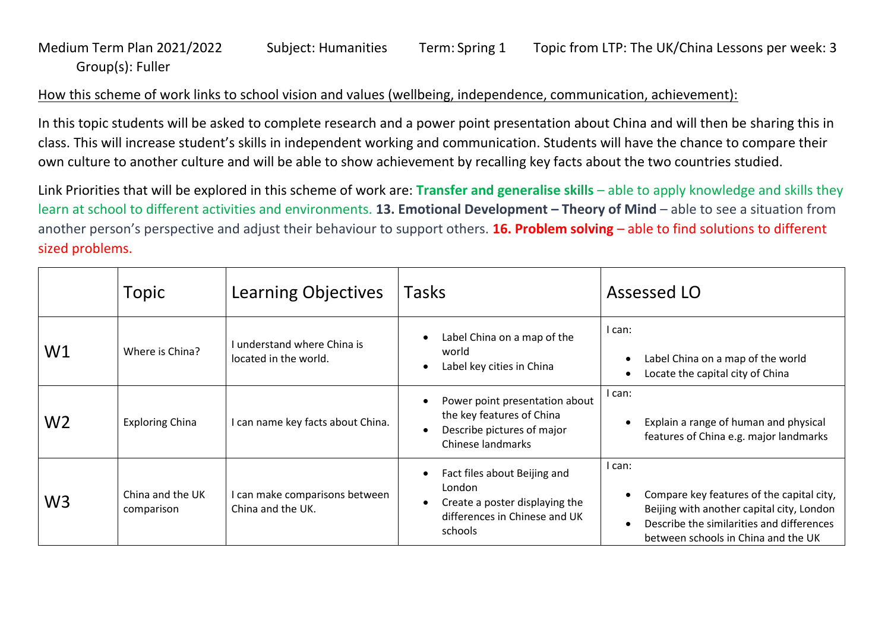## Medium Term Plan 2021/2022 Subject: Humanities Term: Spring 1 Topic from LTP: The UK/China Lessons per week: 3 Group(s): Fuller

## How this scheme of work links to school vision and values (wellbeing, independence, communication, achievement):

In this topic students will be asked to complete research and a power point presentation about China and will then be sharing this in class. This will increase student's skills in independent working and communication. Students will have the chance to compare their own culture to another culture and will be able to show achievement by recalling key facts about the two countries studied.

Link Priorities that will be explored in this scheme of work are: **Transfer and generalise skills** – able to apply knowledge and skills they learn at school to different activities and environments. **13. Emotional Development – Theory of Mind** – able to see a situation from another person's perspective and adjust their behaviour to support others. **16. Problem solving** – able to find solutions to different sized problems.

|                | Topic                          | Learning Objectives                                  | Tasks                                                                                                                | Assessed LO                                                                                                                                                                          |
|----------------|--------------------------------|------------------------------------------------------|----------------------------------------------------------------------------------------------------------------------|--------------------------------------------------------------------------------------------------------------------------------------------------------------------------------------|
| W1             | Where is China?                | I understand where China is<br>located in the world. | Label China on a map of the<br>world<br>Label key cities in China                                                    | I can:<br>Label China on a map of the world<br>Locate the capital city of China<br>$\bullet$                                                                                         |
| W <sub>2</sub> | <b>Exploring China</b>         | I can name key facts about China.                    | Power point presentation about<br>the key features of China<br>Describe pictures of major<br>Chinese landmarks       | I can:<br>Explain a range of human and physical<br>features of China e.g. major landmarks                                                                                            |
| W <sub>3</sub> | China and the UK<br>comparison | I can make comparisons between<br>China and the UK.  | Fact files about Beijing and<br>London<br>Create a poster displaying the<br>differences in Chinese and UK<br>schools | I can:<br>Compare key features of the capital city,<br>Beijing with another capital city, London<br>Describe the similarities and differences<br>between schools in China and the UK |